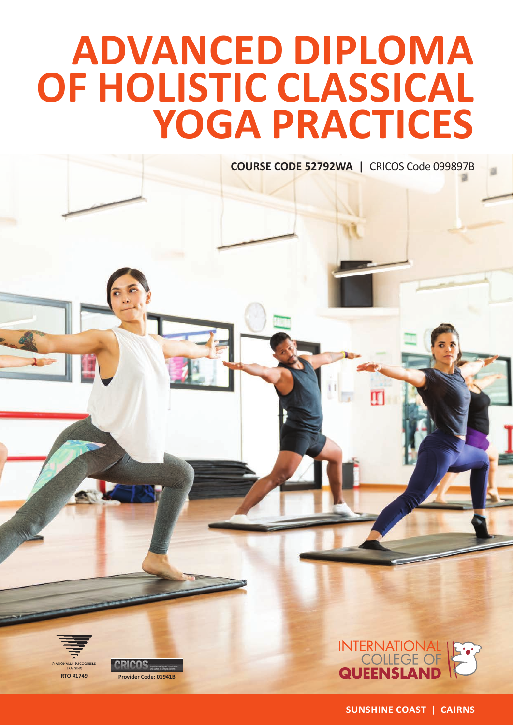# **ADVANCED DIPLOMA OF HOLISTIC CLASSICAL YOGA PRACTICES**

**COURSE CODE 52792WA |** CRICOS Code 099897B



**SUNSHINE COAST | CAIRNS**

**RTO #1749 Provider Code: 01941B**

**NATIONALLY RECOGNISED**